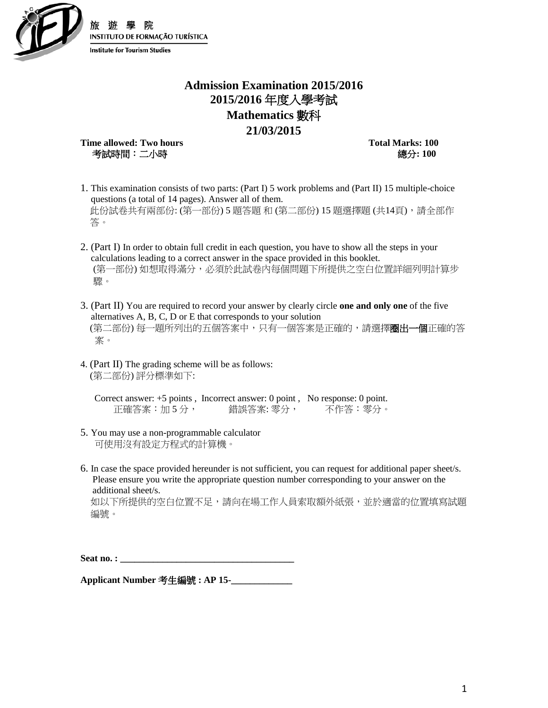

## **Admission Examination 2015/2016 2015/2016** 年度入學考試 **Mathematics** 數科 **21/03/2015**

**Time allowed: Two hours Total Marks: 100** 考試時間:二小時總分**: 100** 

- 1. This examination consists of two parts: (Part I) 5 work problems and (Part II) 15 multiple-choice questions (a total of 14 pages). Answer all of them. 此份試卷共有兩部份: (第一部份) 5 題答題 和 (第二部份) 15 題選擇題 (共14頁),請全部作 答。
- 2. (Part I) In order to obtain full credit in each question, you have to show all the steps in your calculations leading to a correct answer in the space provided in this booklet. (第一部份) 如想取得滿分,必須於此試卷內每個問題下所提供之空白位置詳細列明計算步 驟。
- 3. (Part II) You are required to record your answer by clearly circle **one and only one** of the five alternatives A, B, C, D or E that corresponds to your solution (第二部份) 每一題所列出的五個答案中,只有一個答案是正確的,請選擇圈出一個正確的答 案。
- 4. (Part II) The grading scheme will be as follows: (第二部份) 評分標準如下:

Correct answer: +5 points , Incorrect answer: 0 point , No response: 0 point. 正確答案:加5分, 错誤答案: 零分, 不作答: 零分。

- 5. You may use a non-programmable calculator 可使用沒有設定方程式的計算機。
- 6. In case the space provided hereunder is not sufficient, you can request for additional paper sheet/s. Please ensure you write the appropriate question number corresponding to your answer on the additional sheet/s.

如以下所提供的空白位置不足,請向在場工作人員索取額外紙張,並於適當的位置填寫試題 編號。

Seat no. :

**Applicant Number** 考生編號 **: AP 15-\_\_\_\_\_\_\_\_\_\_\_\_\_**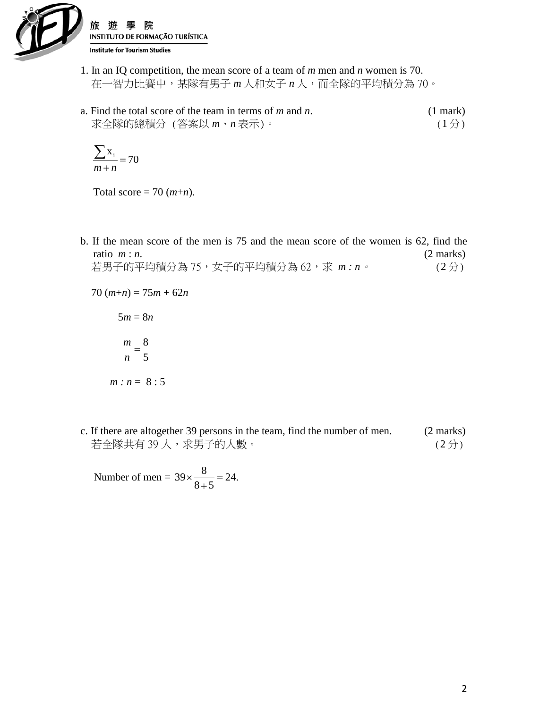

- 1. In an IQ competition, the mean score of a team of *m* men and *n* women is 70. 在一智力比賽中,某隊有男子 *m* 人和女子 *n* 人,而全隊的平均積分為 70。
- a. Find the total score of the team in terms of *m* and *n*. (1 mark) 求全隊的總積分 (答案以 *m*、*n* 表示)。 (1 分)

$$
\frac{\sum x_i}{m+n} = 70
$$

Total score = 70  $(m+n)$ .

b. If the mean score of the men is 75 and the mean score of the women is 62, find the ratio  $m : n$ . (2 marks) 若男子的平均積分為 75,女子的平均積分為 62,求 m : n。 (2分)

$$
70 (m+n) = 75m + 62n
$$

$$
5m = 8n
$$

$$
\frac{m}{n} = \frac{8}{5}
$$

$$
m:n = 8:5
$$

c. If there are altogether 39 persons in the team, find the number of men. (2 marks) 若全隊共有 39 人,求男子的人數。 (2分)

Number of men =  $39 \times \frac{8}{8+5} = 24$ .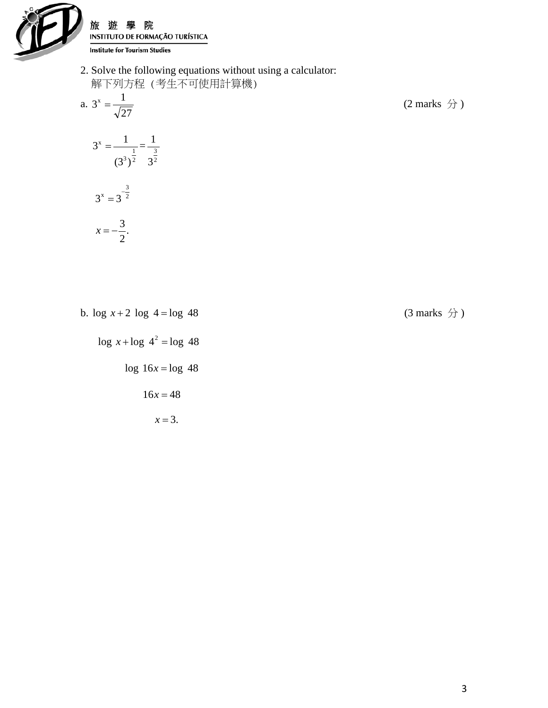

院 旅 游 INSTITUTO DE FORMAÇÃO TURÍSTICA **Institute for Tourism Studies** 

2. Solve the following equations without using a calculator: 解下列方程 (考生不可使用計算機) a. 27  $(2 \text{ marks } \frac{1}{2})$ 

$$
3^{x} = \frac{1}{(3^{3})^{\frac{1}{2}}} = \frac{1}{3^{\frac{3}{2}}}
$$

$$
3^{x} = 3^{\frac{3}{2}}
$$

$$
x=-\frac{3}{2}.
$$

b.  $\log x + 2 \log 4 = \log 48$  (3 marks  $\frac{1}{2}$ )

 $\log x + \log 4^2 = \log 48$ 

 $log 16x = log 48$ 

$$
16x=48
$$

 $x = 3$ .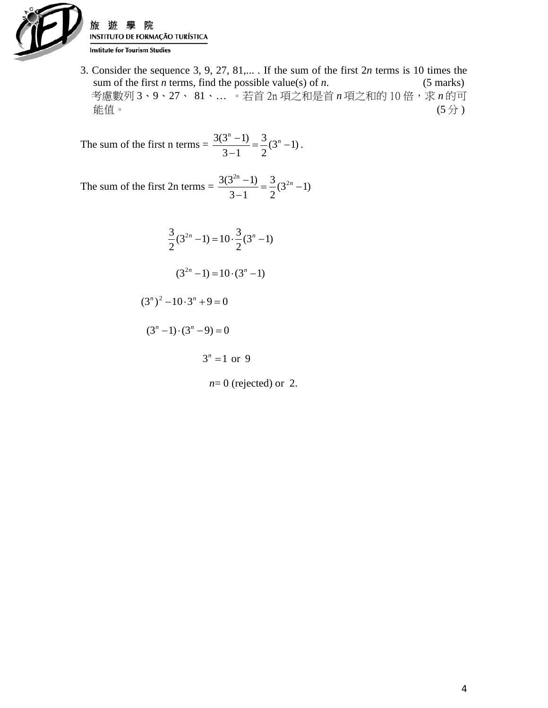

旅 INSTITUTO DE FORMAÇÃO TURÍSTICA **Institute for Tourism Studies** 

3. Consider the sequence 3, 9, 27, 81,... . If the sum of the first 2*n* terms is 10 times the sum of the first *n* terms, find the possible value(s) of *n*. (5 marks) 考慮數列 3、9、27、 81、... 。若首 2n 項之和是首 *n* 項之和的 10 倍,求 *n* 的可 能值。 (5 分 )

The sum of the first n terms  $= \frac{3(3^n - 1)}{3 - 1} = \frac{3}{2}(3^n - 1)$  $3 - 1$  $3(3^{n} - 1)$  $\frac{(-1)}{-1} = \frac{3}{2}(3^{n} - 1).$ 

The sum of the first 2n terms  $= \frac{3(3^{2n}-1)}{3-1} = \frac{3}{2}(3^{2n}-1)$  $3 - 1$  $3(3^{2n}-1)$   $3^{2n}$  $\frac{(-1)^n - 1}{-1} = \frac{3}{2} (3^{2n} -$ 

 $\frac{3}{2}(3^{2n}-1) = 10 \cdot \frac{3}{2}(3^{n}-1)$ 2  $\frac{3}{2}(3^{2n}-1)=10\cdot\frac{3}{2}(3^n-1)$  $(3^{2n} - 1) = 10 \cdot (3^n - 1)$ 

 $(3<sup>n</sup>)<sup>2</sup> - 10 \cdot 3<sup>n</sup> + 9 = 0$ 

 $(3<sup>n</sup> - 1) \cdot (3<sup>n</sup> - 9) = 0$ 

 $3^n = 1$  or 9

 $n=0$  (rejected) or 2.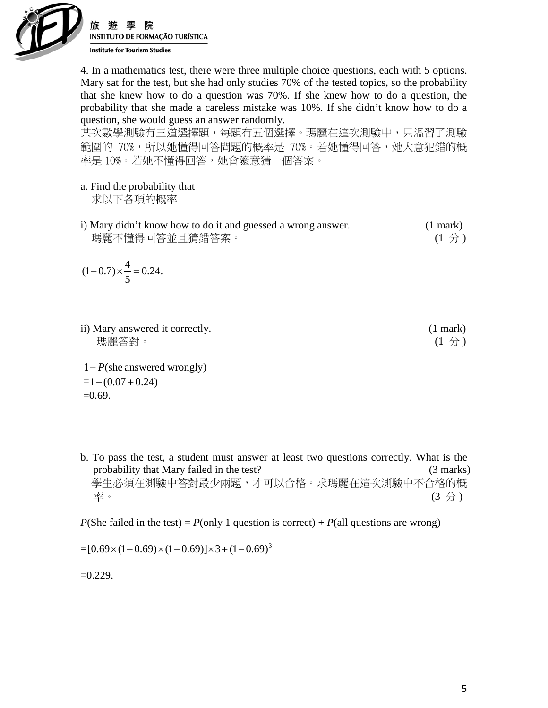

INSTITUTO DE FORMAÇÃO TURÍSTICA **Institute for Tourism Studies** 

4. In a mathematics test, there were three multiple choice questions, each with 5 options. Mary sat for the test, but she had only studies 70% of the tested topics, so the probability that she knew how to do a question was 70%. If she knew how to do a question, the probability that she made a careless mistake was 10%. If she didn't know how to do a question, she would guess an answer randomly.

某次數學測驗有三道選擇題,每題有五個選擇。瑪麗在這次測驗中,只溫習了測驗 範圍的 70%,所以她懂得回答問題的概率是 70%。若她懂得回答,她大意犯錯的概 率是 10%。若她不懂得回答,她會隨意猜一個答案。

- a. Find the probability that 求以下各項的概率
- i) Mary didn't know how to do it and guessed a wrong answer. (1 mark) 瑪麗不懂得回答並且猜錯答案。 (1 分 )

$$
(1-0.7) \times \frac{4}{5} = 0.24.
$$

ii) Mary answered it correctly. (1 mark) 瑪麗答對。 (1 分 )

1− *P*(she answered wrongly)  $=1-(0.07+0.24)$  $=0.69$ .

b. To pass the test, a student must answer at least two questions correctly. What is the probability that Mary failed in the test? (3 marks) 學生必須在測驗中答對最少兩題,才可以合格。求瑪麗在這次測驗中不合格的概 率。 (3 分 )

*P*(She failed in the test) = *P*(only 1 question is correct) + *P*(all questions are wrong)

 $=[0.69\times(1-0.69)\times(1-0.69)]\times3+(1-0.69)^3$ 

 $=0.229$ .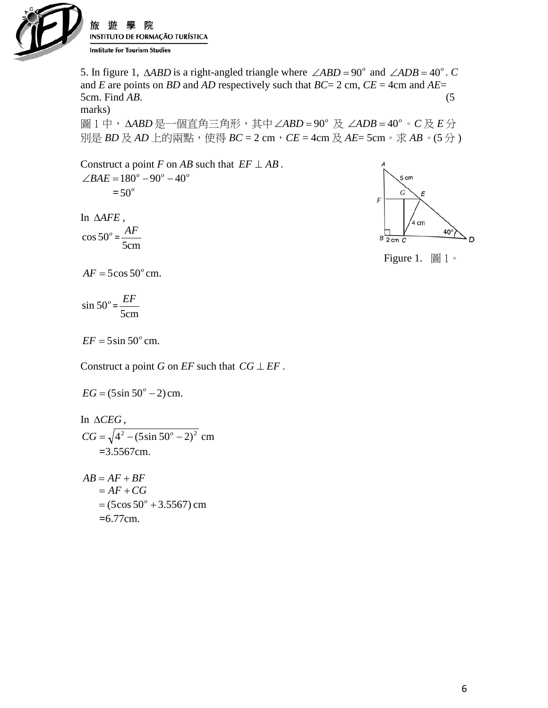

5. In figure 1,  $\triangle ABD$  is a right-angled triangle where  $\angle ABD = 90^\circ$  and  $\angle ADB = 40^\circ$ . *C* and *E* are points on *BD* and *AD* respectively such that *BC*= 2 cm, *CE* = 4cm and *AE*= 5cm. Find *AB*. (5 marks)

圖 1 中, △ABD 是一個直角三角形, 其中 ∠ABD = 90° 及 ∠ADB = 40° 。 C 及 E 分 別是 *BD* 及 *AD* 上的兩點,使得 *BC* = 2 cm, *CE* = 4cm 及 *AE*= 5cm。求 *AB*。(5分)

Construct a point *F* on *AB* such that  $EF \perp AB$ .  $\angle BAE = 180^\circ - 90^\circ - 40^\circ$  $= 50^\circ$ 

In ∆*AFE* ,  $\cos 50^\circ$  = 5cm *AF*



Figure 1.  $\boxed{\mathbb{B}}$  1  $\circ$ 

 $AF = 5\cos 50^\circ \text{cm}$ .

 $\sin 50^\circ$  = 5cm *EF*

 $EF = 5\sin 50^\circ$  cm.

 $EG = (5\sin 50^\circ - 2)$  cm.

Construct a point *G* on *EF* such that  $CG \perp EF$ .

In ∆*CEG* ,  $CG = \sqrt{4^2 - (5\sin 50^\circ - 2)^2}$  cm  **=**3.5567cm.  $AB = AF + BF$  $= AF + CG$  $= (5\cos 50^\circ + 3.5567)$  cm

 **=**6.77cm.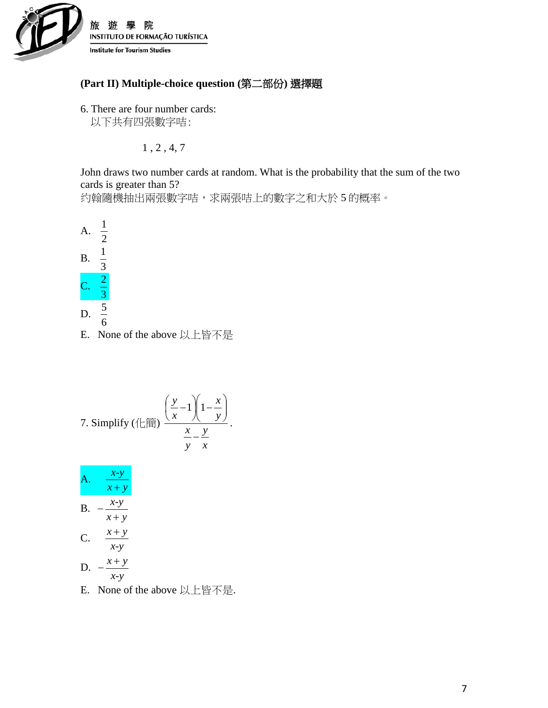

## **(Part II) Multiple-choice question (**第二部份**)** 選擇題

6. There are four number cards: 以下共有四張數字咭:

1 , 2 , 4, 7

John draws two number cards at random. What is the probability that the sum of the two cards is greater than 5?

约翰隨機抽出兩張數字咭,求兩張咭上的數字之和大於5的概率。



E. None of the above 以上皆不是

7. Simplify (
$$
\left(\frac{\pi}{2}\right) \left( \frac{y}{x} - 1 \right) \left( 1 - \frac{x}{y} \right) \left( \frac{x}{y} - \frac{y}{x} \right)
$$
.

|    | $x-y$<br>$x + y$ |  |
|----|------------------|--|
| B. | $x-y$<br>$x + y$ |  |
| C. | $x + y$          |  |
| D. | $x-y$<br>$x + y$ |  |
|    | $x-y$<br>. .     |  |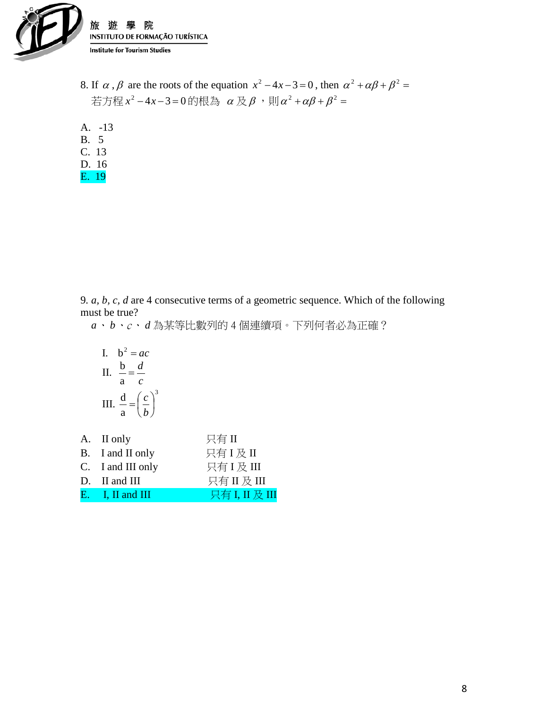

- 8. If  $\alpha$ ,  $\beta$  are the roots of the equation  $x^2 4x 3 = 0$ , then  $\alpha^2 + \alpha\beta + \beta^2 = 0$  $\ddot{\varepsilon}$ 方程  $x^2-4x-3=0$ 的根為 α及β,則α $^2+\alpha\beta+\beta^2=$
- A. -13
- B. 5 C. 13
- D. 16
- E. 19

9*. a, b, c, d* are 4 consecutive terms of a geometric sequence. Which of the following must be true?

*a*、 *b*、c、 *d* 為某等比數列的 4 個連續項。下列何者必為正確?

I. 
$$
b^2 = ac
$$
  
\nII.  $\frac{b}{a} = \frac{d}{c}$   
\nIII.  $\frac{d}{a} = \left(\frac{c}{b}\right)^3$ 

| A. II only         | 只有II           |
|--------------------|----------------|
| B. I and II only   | 只有I及II         |
| C. I and III only  | 只有I及III        |
| $D.$ II and III    | 只有II及III       |
| $E.$ I, II and III | 只有 I, II 及 III |
|                    |                |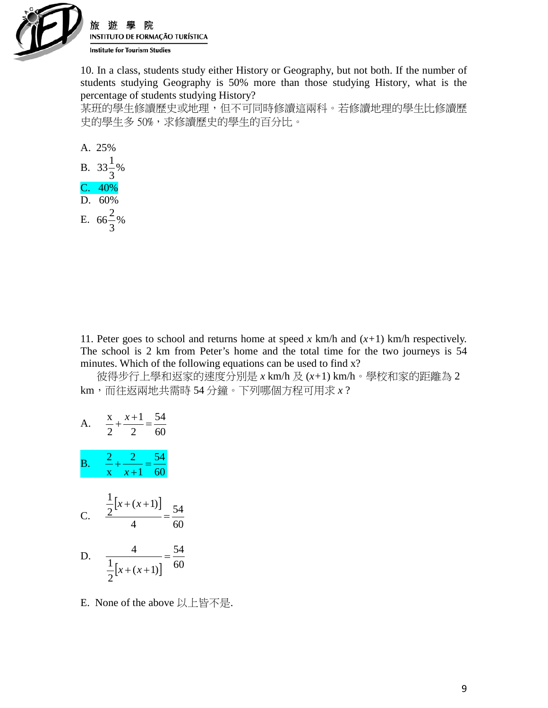

10. In a class, students study either History or Geography, but not both. If the number of students studying Geography is 50% more than those studying History, what is the percentage of students studying History?

某班的學生修讀歷史或地理,但不可同時修讀這兩科。若修讀地理的學生比修讀歷 史的學生多50%,求修讀歷史的學生的百分比。



11. Peter goes to school and returns home at speed  $x \text{ km/h}$  and  $(x+1) \text{ km/h}$  respectively. The school is 2 km from Peter's home and the total time for the two journeys is 54 minutes. Which of the following equations can be used to find x?

 彼得步行上學和返家的速度分別是 *x* km/h 及 (*x+*1) km/h。學校和家的距離為 2 km,而往返兩地共需時 54 分鐘。下列哪個方程可用求 *x* ?

A. 
$$
\frac{x}{2} + \frac{x+1}{2} = \frac{54}{60}
$$
  
\nB.  $\frac{2}{x} + \frac{2}{x+1} = \frac{54}{60}$   
\nC.  $\frac{\frac{1}{2}[x + (x+1)]}{4} = \frac{54}{60}$   
\nD.  $\frac{4}{\frac{1}{2}[x + (x+1)]} = \frac{54}{60}$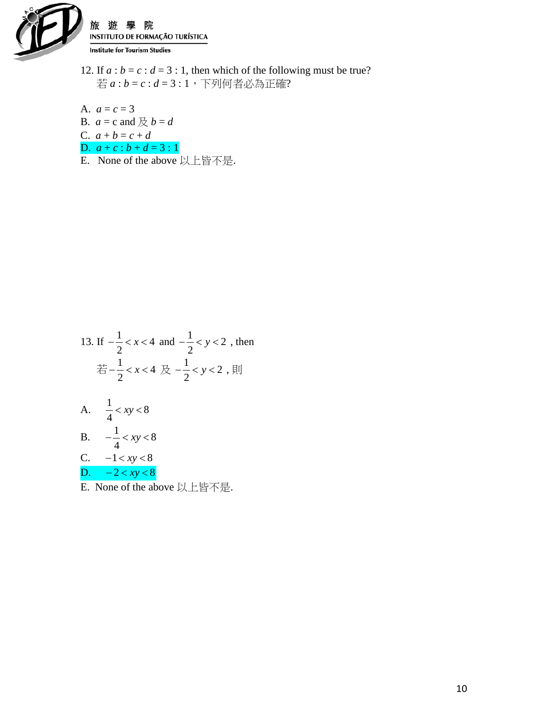

院 游 INSTITUTO DE FORMAÇÃO TURÍSTICA **Institute for Tourism Studies** 

12. If  $a : b = c : d = 3 : 1$ , then which of the following must be true? 若 *a* : *b* = *c* : *d* = 3 : 1,下列何者必為正確?

A. 
$$
a = c = 3
$$
  
\nB.  $a = c$  and  $\not\in b = d$   
\nC.  $a + b = c + d$   
\nD.  $a + c : b + d = 3 : 1$ 

E. None of the above 以上皆不是.

13. If 
$$
-\frac{1}{2} < x < 4
$$
 and  $-\frac{1}{2} < y < 2$ , then  
\n
$$
\begin{aligned}\n\frac{1}{25} - \frac{1}{2} < x < 4 \quad \text{R} & -\frac{1}{2} < y < 2 \quad \text{R}\n\end{aligned}
$$
\nA.  $\frac{1}{4} < xy < 8$   
\nB.  $-\frac{1}{4} < xy < 8$   
\nC.  $-1 < xy < 8$   
\nD.  $-2 < xy < 8$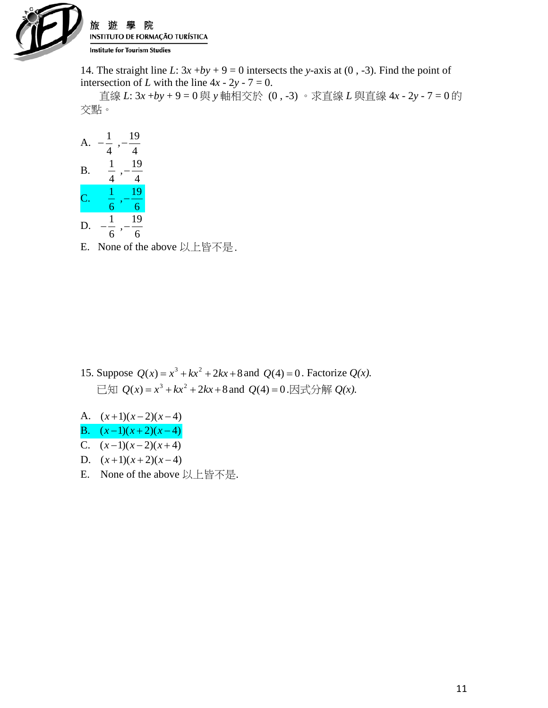

14. The straight line *L*:  $3x + by + 9 = 0$  intersects the *y*-axis at (0, -3). Find the point of intersection of *L* with the line  $4x - 2y - 7 = 0$ .

 直線 *L*: 3*x* +*by* + 9 = 0 與 *y* 軸相交於 (0 , -3) 。求直線 *L* 與直線 4*x* - 2*y* - 7 = 0 的 交點。

| А         | 1<br>,<br>4         | 19<br>4 |
|-----------|---------------------|---------|
| <b>B.</b> | 1<br>$\overline{4}$ | 19<br>4 |
| С         | 1<br>6              | 19<br>6 |
| D<br>l    | 1<br>б              | 19      |

- 15. Suppose  $Q(x) = x^3 + kx^2 + 2kx + 8$  and  $Q(4) = 0$ . Factorize  $Q(x)$ .  $\Box$ 知  $Q(x) = x^3 + kx^2 + 2kx + 8$  and  $Q(4) = 0$ .因式分解  $Q(x)$ .
- A.  $(x+1)(x-2)(x-4)$
- B.  $(x-1)(x+2)(x-4)$
- C.  $(x-1)(x-2)(x+4)$
- D.  $(x+1)(x+2)(x-4)$
- E. None of the above 以上皆不是.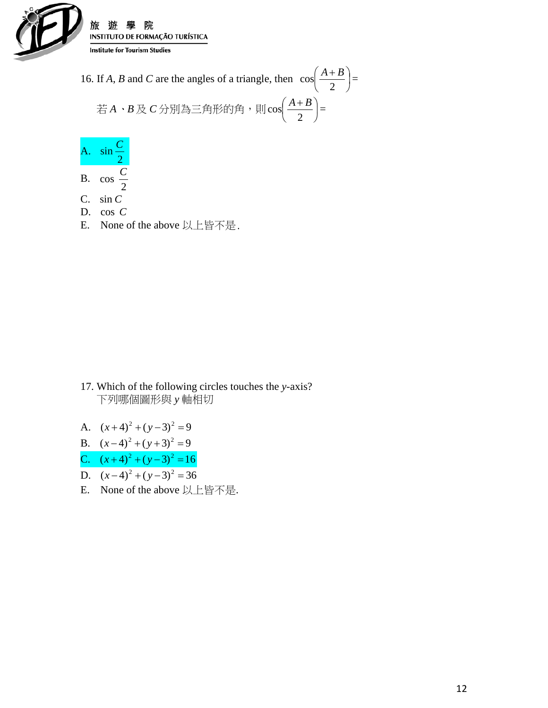

16. If *A*, *B* and *C* are the angles of a triangle, then  $\cos \left( \frac{11+B}{2} \right)$ J  $\left(\frac{A+B}{2}\right)$  $\setminus$  $(A +$ 2  $\cos\left(\frac{A+B}{2}\right) =$  若 *A*、*B* 及 *C* 分別為三角形的角,則 J  $\left(\frac{A+B}{2}\right)$  $\setminus$  $(A+$ 2  $\cos\left(\frac{A+B}{2}\right) =$ 

A. 2  $\sin \frac{C}{2}$  $\cos \frac{C}{2}$ 

- B. 2
- C. sin *C*
- D. cos *C*
- E. None of the above 以上皆不是.

- 17. Which of the following circles touches the *y*-axis? 下列哪個圖形與 *y* 軸相切
- A.  $(x+4)^2 + (y-3)^2 = 9$
- B.  $(x-4)^2 + (y+3)^2 = 9$
- C.  $(x+4)^2 + (y-3)^2 = 16$
- D.  $(x-4)^2 + (y-3)^2 = 36$
- E. None of the above 以上皆不是.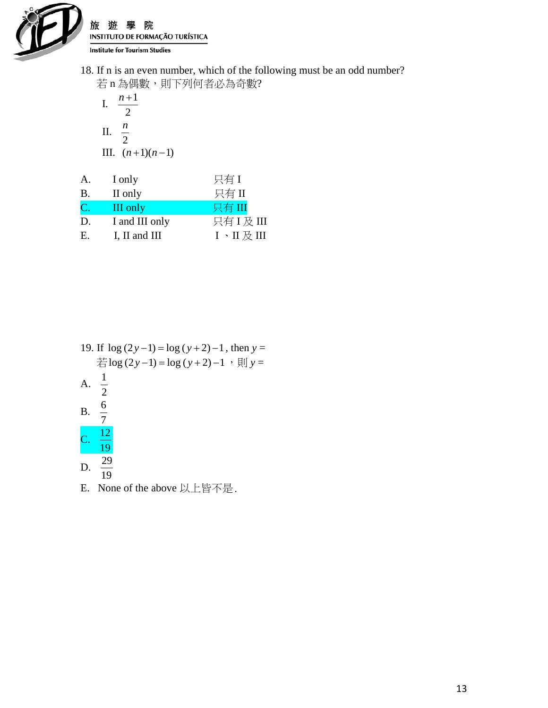

旅 院 游 INSTITUTO DE FORMAÇÃO TURÍSTICA **Institute for Tourism Studies** 

18. If n is an even number, which of the following must be an odd number? 若 n 為偶數,則下列何者必為奇數?

I. 
$$
\frac{n+1}{2}
$$
  
II. 
$$
\frac{n}{2}
$$
  
III. 
$$
(n+1)(n-1)
$$

| A.           | I only         | 只有I                                   |
|--------------|----------------|---------------------------------------|
| Β.           | II only        | 只有II                                  |
| $\mathbf{C}$ | III only       | 只有 III                                |
| D.           | I and III only | 只有 I 及 III                            |
| Е.           | I, II and III  | I $\cdot$ II $\frac{1}{\sqrt{2}}$ III |

19. If  $\log (2y-1) = \log (y+2) - 1$ , then  $y =$  $\frac{2}{\sqrt{15}}\log(2y-1) = \log(y+2)-1,$ ,  $\frac{1}{2}$  y = A. 2 1 B. 7  $\frac{6}{7}$ C. 19 12 D. 19 29 E. None of the above 以上皆不是.